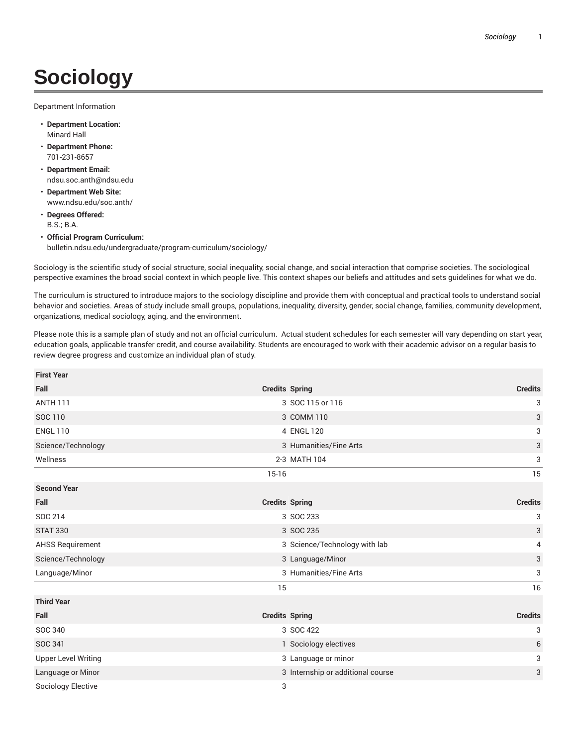## **Sociology**

Department Information

- **Department Location:** Minard Hall
- **Department Phone:** 701-231-8657
- **Department Email:** ndsu.soc.anth@ndsu.edu
- **Department Web Site:** www.ndsu.edu/soc.anth/
- **Degrees Offered:** B.S.; B.A.
- **Official Program Curriculum:** bulletin.ndsu.edu/undergraduate/program-curriculum/sociology/

Sociology is the scientific study of social structure, social inequality, social change, and social interaction that comprise societies. The sociological perspective examines the broad social context in which people live. This context shapes our beliefs and attitudes and sets guidelines for what we do.

The curriculum is structured to introduce majors to the sociology discipline and provide them with conceptual and practical tools to understand social behavior and societies. Areas of study include small groups, populations, inequality, diversity, gender, social change, families, community development, organizations, medical sociology, aging, and the environment.

Please note this is a sample plan of study and not an official curriculum. Actual student schedules for each semester will vary depending on start year, education goals, applicable transfer credit, and course availability. Students are encouraged to work with their academic advisor on a regular basis to review degree progress and customize an individual plan of study.

| <b>First Year</b>          |                       |                                   |                |
|----------------------------|-----------------------|-----------------------------------|----------------|
| Fall                       | <b>Credits Spring</b> |                                   | <b>Credits</b> |
| <b>ANTH 111</b>            |                       | 3 SOC 115 or 116                  | 3              |
| SOC 110                    |                       | 3 COMM 110                        | 3              |
| <b>ENGL 110</b>            |                       | 4 ENGL 120                        | 3              |
| Science/Technology         |                       | 3 Humanities/Fine Arts            | 3              |
| Wellness                   |                       | 2-3 MATH 104                      | 3              |
|                            | $15-16$               |                                   | 15             |
| <b>Second Year</b>         |                       |                                   |                |
| Fall                       | <b>Credits Spring</b> |                                   | <b>Credits</b> |
| SOC 214                    |                       | 3 SOC 233                         | 3              |
| <b>STAT 330</b>            |                       | 3 SOC 235                         | 3              |
| <b>AHSS Requirement</b>    |                       | 3 Science/Technology with lab     | 4              |
| Science/Technology         |                       | 3 Language/Minor                  | 3              |
| Language/Minor             |                       | 3 Humanities/Fine Arts            | 3              |
|                            | 15                    |                                   | 16             |
| <b>Third Year</b>          |                       |                                   |                |
| Fall                       | <b>Credits Spring</b> |                                   | <b>Credits</b> |
| SOC 340                    |                       | 3 SOC 422                         | 3              |
| SOC 341                    |                       | 1 Sociology electives             | 6              |
| <b>Upper Level Writing</b> |                       | 3 Language or minor               | 3              |
| Language or Minor          |                       | 3 Internship or additional course | 3              |
| Sociology Elective         | 3                     |                                   |                |